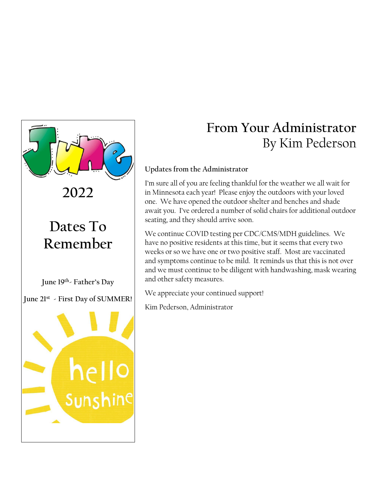

**2022**

# **Dates To Remember**

**June 19th- Father's Day**

**June 21 st - First Day of SUMMER!**



# **From Your Administrator** By Kim Pederson

### **Updates from the Administrator**

I'm sure all of you are feeling thankful for the weather we all wait for in Minnesota each year! Please enjoy the outdoors with your loved one. We have opened the outdoor shelter and benches and shade await you. I've ordered a number of solid chairs for additional outdoor seating, and they should arrive soon.

We continue COVID testing per CDC/CMS/MDH guidelines. We have no positive residents at this time, but it seems that every two weeks or so we have one or two positive staff. Most are vaccinated and symptoms continue to be mild. It reminds us that this is not over and we must continue to be diligent with handwashing, mask wearing and other safety measures.

We appreciate your continued support!

Kim Pederson, Administrator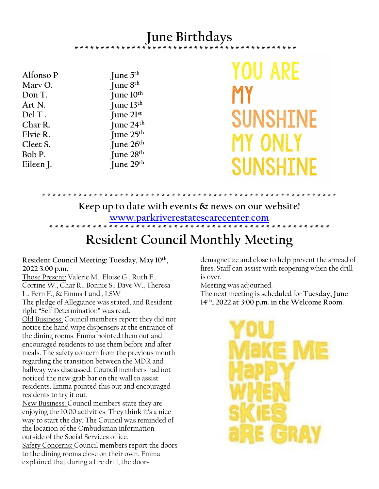## **June Birthdays**

\* \* \* \* \* \* \* \* \* \* \* \* \* \* \* \* \* \* \* \* \* \* \* \* \* \* \* \* \* \* \* \* \* \* \* \* \* \* \* \* \* \* \*

**Iune**  $5<sup>th</sup>$ 

Alfonso P **Marv O. June 8 th Don T. June 10th Art N. June 13th Del T . June 21st Char R. June 24th Elvie R. June 25th Cleet S. June 26th Bob P. June 28th Eileen J. June 29th**

YOU ARE SUNSHINE MY ONLY SUNSHINE

### **Keep up to date with events & news on our website! [www.parkriverestatescarecenter.com](http://www.parkriverestatescarecenter.com/) \* \* \* \* \* \* \* \* \* \* \* \* \* \* \* \* \* \* \* \* \* \* \* \* \* \* \* \* \* \* \* \* \* \* \* \* \* \* \* \* \* \* \* \* \* \* \* \* \* \* \* \***

\* \* \* \* \* \* \* \* \* \* \* \* \* \* \* \* \* \* \* \* \* \* \* \* \* \* \* \* \* \* \* \* \* \* \* \* \* \* \* \* \* \* \* \* \* \* \* \* \* \* \* \* \* \* \* \* \*

## **Resident Council Monthly Meeting**

**Resident Council Meeting: Tuesday, May 10 th , 2022 3:00 p.m.**

Those Present: Valerie M., Eloise G., Ruth F., Corrine W., Char R., Bonnie S., Dave W., Theresa L., Fern F., & Emma Lund., LSW

The pledge of Allegiance was stated, and Resident right "Self Determination" was read.

Old Business: Council members report they did not notice the hand wipe dispensers at the entrance of the dining rooms. Emma pointed them out and encouraged residents to use them before and after meals. The safety concern from the previous month regarding the transition between the MDR and hallway was discussed. Council members had not noticed the new grab bar on the wall to assist residents. Emma pointed this out and encouraged residents to try it out.

New Business: Council members state they are enjoying the 10:00 activities. They think it's a nice way to start the day. The Council was reminded of the location of the Ombudsman information outside of the Social Services office. Safety Concerns: Council members report the doors to the dining rooms close on their own. Emma explained that during a fire drill, the doors

demagnetize and close to help prevent the spread of fires. Staff can assist with reopening when the drill is over.

Meeting was adjourned.

The next meeting is scheduled for **Tuesday, June 14th , 2022 at 3:00 p.m. in the Welcome Room.**

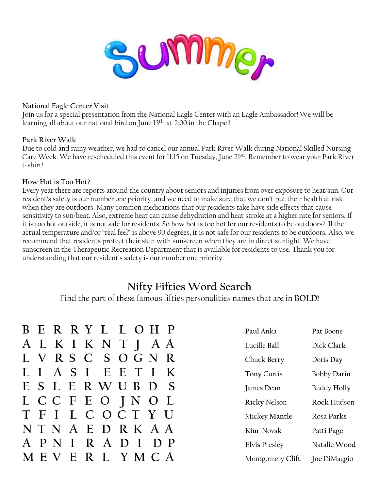

#### **National Eagle Center Visit**

Join us for a special presentation from the National Eagle Center with an Eagle Ambassador! We will be learning all about our national bird on June 13<sup>th</sup> at 2:00 in the Chapel!

#### **Park River Walk**

Due to cold and rainy weather, we had to cancel our annual Park River Walk during National Skilled Nursing Care Week. We have rescheduled this event for 11:15 on Tuesday, June 21st. Remember to wear your Park River t-shirt!

#### **How Hot is Too Hot?**

Every year there are reports around the country about seniors and injuries from over exposure to heat/sun. Our resident's safety is our number one priority, and we need to make sure that we don't put their health at risk when they are outdoors. Many common medications that our residents take have side effects that cause sensitivity to sun/heat. Also, extreme heat can cause dehydration and heat stroke at a higher rate for seniors. If it is too hot outside, it is not safe for residents. So how hot is too hot for our residents to be outdoors? If the actual temperature and/or "real feel" is above 90 degrees, it is not safe for our residents to be outdoors. Also, we recommend that residents protect their skin with sunscreen when they are in direct sunlight. We have sunscreen in the Therapeutic Recreation Department that is available for residents to use. Thank you for understanding that our resident's safety is our number one priority.

### **Nifty Fifties Word Search**

Find the part of these famous fifties personalities names that are in **BOLD!**

|              |                  |               |               | B E R R Y L L O H P |           |              | Paul Anka            | Pat Boone          |
|--------------|------------------|---------------|---------------|---------------------|-----------|--------------|----------------------|--------------------|
|              |                  | A L K I K N T |               |                     | A A       |              | Lucille Ball         | Dick Clark         |
| L V          |                  | R S C         | S O           | G N                 |           | - R          | Chuck Berry          | Doris Day          |
| L L          |                  | A S I         |               | EE                  |           | K            | Tony Curtis          | <b>Bobby Darin</b> |
|              |                  | E S L E R W U |               | $\bf{B}$            | $\bigcup$ | S            | James Dean           | <b>Buddy Holly</b> |
|              |                  | L C C F E O   |               | $\int N$            | O L       |              | <b>Ricky Nelson</b>  | Rock Hudson        |
| T F          | $\mathbf{I}$     | $\mathbf{L}$  | $\mathcal{C}$ | OCTYU               |           |              | Mickey Mantle        | Rosa Parks         |
|              | NTN              |               |               | A E D R K A A       |           |              | Kim Novak            | Patti Page         |
| $\mathbf{A}$ | P<br>$\mathbb N$ |               | R<br>A        | $\mathbf 1$         | $D$ $P$   |              | <b>Elvis Presley</b> | Natalie Wood       |
|              |                  | Н             |               |                     |           | $\mathbf{A}$ | Montgomery Clift     | Joe DiMaggio       |
|              |                  |               |               |                     |           |              |                      |                    |

| Paul Anka           | Pat Boone          |
|---------------------|--------------------|
| Lucille Ball        | Dick Clark         |
| Chuck Berry         | Doris Day          |
| <b>Tony Curtis</b>  | <b>Bobby Darin</b> |
| James Dean          | <b>Buddy Holly</b> |
| <b>Ricky Nelson</b> | Rock Hudson        |
| Mickey Mantle       | Rosa Parks         |
| Kim Novak           | Patti Page         |
| Elvis Presley       | Natalie Wood       |
| Montgomery Clift    | Joe DiMaggio       |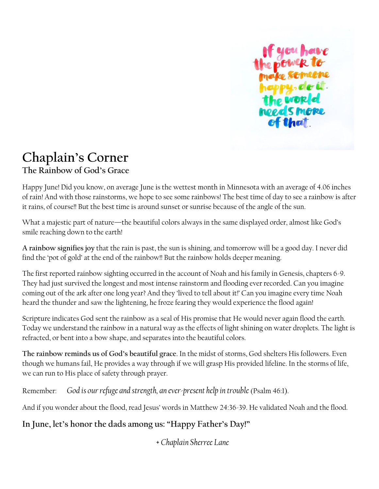

### **Chaplain's Corner The Rainbow of God's Grace**

Happy June! Did you know, on average June is the wettest month in Minnesota with an average of 4.06 inches of rain! And with those rainstorms, we hope to see some rainbows! The best time of day to see a rainbow is after it rains, of course!! But the best time is around sunset or sunrise because of the angle of the sun.

What a majestic part of nature—the beautiful colors always in the same displayed order, almost like God's smile reaching down to the earth!

**A rainbow signifies joy** that the rain is past, the sun is shining, and tomorrow will be a good day. I never did find the 'pot of gold' at the end of the rainbow!! But the rainbow holds deeper meaning.

The first reported rainbow sighting occurred in the account of Noah and his family in Genesis, chapters 6-9. They had just survived the longest and most intense rainstorm and flooding ever recorded. Can you imagine coming out of the ark after one long year? And they 'lived to tell about it!' Can you imagine every time Noah heard the thunder and saw the lightening, he froze fearing they would experience the flood again!

Scripture indicates God sent the rainbow as a seal of His promise that He would never again flood the earth. Today we understand the rainbow in a natural way as the effects of light shining on water droplets. The light is refracted, or bent into a bow shape, and separates into the beautiful colors.

**The rainbow reminds us of God's beautiful grace**. In the midst of storms, God shelters His followers. Even though we humans fail, He provides a way through if we will grasp His provided lifeline. In the storms of life, we can run to His place of safety through prayer.

Remember: *God is our refuge and strength, an ever-present help in trouble* (Psalm 46:1).

And if you wonder about the flood, read Jesus' words in Matthew 24:36-39. He validated Noah and the flood.

**In June, let's honor the dads among us: "Happy Father's Day!"**

*+ Chaplain Sherree Lane*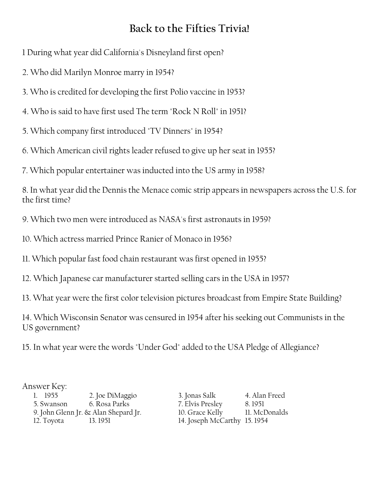## **Back to the Fifties Trivia!**

1 During what year did California's Disneyland first open?

2. Who did Marilyn Monroe marry in 1954?

3. Who is credited for developing the first Polio vaccine in 1953?

4. Who is said to have first used The term "Rock N Roll" in 1951?

5. Which company first introduced "TV Dinners" in 1954?

6. Which American civil rights leader refused to give up her seat in 1955?

7. Which popular entertainer was inducted into the US army in 1958?

8. In what year did the Dennis the Menace comic strip appears in newspapers across the U.S. for the first time?

9. Which two men were introduced as NASA's first astronauts in 1959?

10. Which actress married Prince Ranier of Monaco in 1956?

11. Which popular fast food chain restaurant was first opened in 1955?

12. Which Japanese car manufacturer started selling cars in the USA in 1957?

13. What year were the first color television pictures broadcast from Empire State Building?

14. Which Wisconsin Senator was censured in 1954 after his seeking out Communists in the US government?

15. In what year were the words "Under God" added to the USA Pledge of Allegiance?

### Answer Key:

1. 1955 2. Joe DiMaggio 3. Jonas Salk 4. Alan Freed 5. Swanson 6. Rosa Parks 7. Elvis Presley 8. 1951 9. John Glenn Jr.  $\&$  Alan Shepard Jr. 10. Grace Kelly 12. Toyota 13. 1951 14. Joseph McCarthy 15. 1954